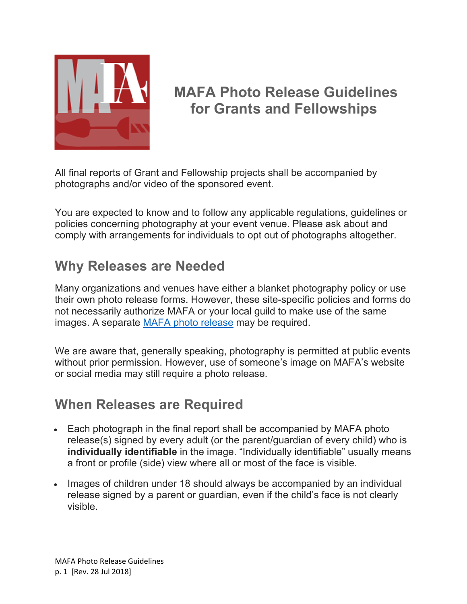

## **MAFA Photo Release Guidelines for Grants and Fellowships**

All final reports of Grant and Fellowship projects shall be accompanied by photographs and/or video of the sponsored event.

You are expected to know and to follow any applicable regulations, guidelines or policies concerning photography at your event venue. Please ask about and comply with arrangements for individuals to opt out of photographs altogether.

## **Why Releases are Needed**

Many organizations and venues have either a blanket photography policy or use their own photo release forms. However, these site-specific policies and forms do not necessarily authorize MAFA or your local guild to make use of the same images. A separate [MAFA photo release](https://mafafiber.org/grants/photo-release-form/) may be required.

We are aware that, generally speaking, photography is permitted at public events without prior permission. However, use of someone's image on MAFA's website or social media may still require a photo release.

## **When Releases are Required**

- Each photograph in the final report shall be accompanied by MAFA photo release(s) signed by every adult (or the parent/guardian of every child) who is **individually identifiable** in the image. "Individually identifiable" usually means a front or profile (side) view where all or most of the face is visible.
- Images of children under 18 should always be accompanied by an individual release signed by a parent or guardian, even if the child's face is not clearly visible.